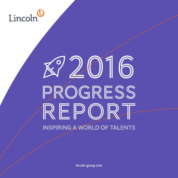## Lincoln

# 2016 PROGRESS REPORT INSPIRING A WORLD OF TALENTS

lincoln-group.com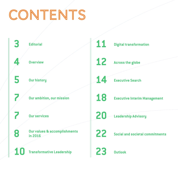## CONTENTS

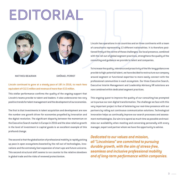## Édito Editorial





MATTHIEU BEAURAIN

GWËNAEL PERROT

#### Lincoln continued to grow at a steady pace of 18% in 2016, to reach fees equivalent of €12.5 million and revenue of more than €15 million.

This stellar performance confirms the quality of the ongoing support that Lincoln's teams provide to talent and leaders. It also underscores two very positive trends for talent management and the development of our economies.

The first is that investments in talent acquisition and development are now the number one growth driver for economies propelled by innovation and the digital revolution. The significant disparity between the momentum on the Executive Search market in Europe in 2016 and the slow relative growth in the level of investment in capital goods is an excellent example of this profound change.

The second is that the globalization of professional mobility is rapidly picking up pace in open ecosystems boosted by the roll-out of technologies, innovations and the extremely fast expansion of start-ups and future unicorns. This second structural shift seems to run counter to the relative slowdown in global trade and the risks of renewed protectionism.

Lincoln has operations in six countries and on three continents with a team of consultants representing 13 different nationalities. It is therefore positioned firmly at the centre of these challenges. Our local presence, combined with the roll-out of global segment practices, strengthens the quality of the consulting and guidance we provide to talent and companies.

To increase the quality, relevance and proactivity of the life-long guidance we provide to high-potential talent, we have decided to restructure our company around segment or functional expertise to more easily connect with the professional communities in each ecosystem. Our three Executive Search, Executive Interim Management and Leadership Advisory HR solutions are now combined within dedicated segment practices.

This ongoing quest to improve the quality of our consulting has prompted us to pursue our own digital transformation. The challenge we face with this very important project is that of bolstering our real-time presence with our partners by rolling out continuous communication solutions. Technological innovation helps us continually improve our search processes and assessment methodologies. Our aim is to spend as much time as possible and maximise our availability when meeting and conversing personally with every manager, expert and partner whom we have the opportunity to advise.

*Dedicated to our values and mission, all "Lincolnians" are committed to pursuing durable growth, with the aim of stress-free, seamless and inclusive professional mobility and of long-term performance within companies.*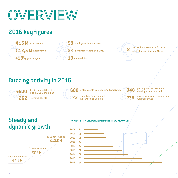

## 2016 key figures







## Buzzing activity in 2016



in us in 2016, including



**600**

transition assignments in France and Belgium



**238**

participants were trained,

262 first-time clients **262** transition assignments **262** assessment center evaluations

## Steady and **INCREASE IN WORLDWIDE PERMANENT WORKFORCE:** dynamic growth **2008**



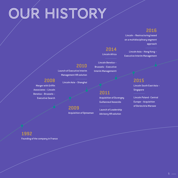# OUR HISTORY

### **2016**

Lincoln – Restructuring based on a multidisciplinary segment

### **2014**

Lincoln Africa

Lincoln Benelux – Brussels – Executive Interim Managementt

approach

Lincoln Asia – Hong Kong – Executive Interim Management

### **2015** Lincoln South East Asia –

Singapore

Lincoln Poland - Central Europe – Acquisition of Dories Aria Warsaw

### **2010**

Launch of Executive Interim Management HR solution

Lincoln Asia – Shanghai

**2008** Merger with Griffin Associates – Lincoln Benelux – Brussels – Executive Search

**2009**

Acquisition of Opteaman

Guillanneuf Associés Launch of Leadership Advisory HR solution

Acquisition of Duvergey

**2011**

### **1992**

Founding of the company in France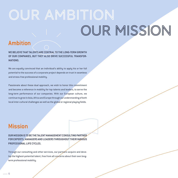## OUR AMBITION OUR MISSION

### Ambition

WE **RELIEVE THAT TAL ENTS ARE CENTRAL TO THE LONG-TERM GROWTH OF OUR COMPANIES, BUT THEY ALSO DRIVE SUCCESSFUL TRANSFOR-MATIONS.** 

We are equally convinced that an individual's ability to apply his or her full potential to the success of a corporate project depends on trust in seamless and stress-free professional mobility.

Passionate about these dual approach, we wish to honor this commitment and become a reference in mobility for top talents and leaders, to serve the long-term performance of our companies. With our European culture, we continue to grow in Asia, Africa and Europe through our understanding of both local inter-cultural challenges as well as the global or regional playing fields.

### Mission

**OUR MISSION IS TO BE THE TALENT MANAGEMENT CONSULTING PARTNER FOR EXPERTS, MANAGERS AND LEADERS THROUGHOUT THEIR VARIOUS PROFESSIONAL LIFE CYCLES.**

Through our consulting and other services, our partners acquire and develop the highest-potential talent, free from all concerns about their own longterm professional mobility.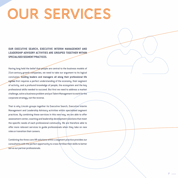## Our services

**OUR EXECUTIVE SEARCH, EXECUTIVE INTERIM MANAGEMENT AND LEADERSHIP ADVISORY ACTIVITIES ARE GROUPED TOGETHER WITHIN SPECIALISED SEGMENT PRACTICES.**

Having long held the belief that people are central to the business models of 21st-century growth companies, we need to take our argument to its logical conclusion. **Guiding leaders and managers all along their professional life**  cycles first requires a perfect understanding of the economy, their segment of activity, and a profound knowledge of people, the ecosystem and the key professional skills needed to succeed. But first we need to address a market challenge, solve a business problem and put Talent Management to work for the corporate strategy, not the reverse.

That is why Lincoln groups together its Executive Search, Executive Interim Management and Leadership Advisory activities within specialised segment practices. By combining these services in this new way, we are able to offer assessment center, coaching and leadership development solutions that meet the specific needs of each professional community. We are therefore able to offer more relevant services to guide professionals when they take on new roles or transition their careers.

Combining the three core HR solutions within a segment practice provides our consultants with the perfect opportunity to cross-fertilise their skills to better serve our partner professionals.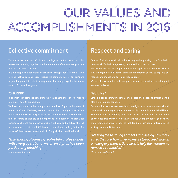## Our values and accomplishments in 2016

## Collective commitment

The collective success of Lincoln employees, mutual trust, and the pleasure of working together are the foundation of our company culture and our continued success.

It is our deeply held belief that we are better off together. It is in this frame of mind that we decided to restructure the company to offer our partners a global approach to talent management that brings together business experts from each segment.

#### **"SHARING"**

In addition to customised consulting, we would like to share our knowledge and expertise with our partners.

We have held round tables on topics as varied as "Digital in the heart of real estate" and "Evaluate, seduce... How to find the right balance in a recruitment interview." We join forces with our partners to better address their corporate challenges and along those lines coordinated breakfast sessions on French companies' operations in China, on the future of retail and e-commerce with the ESCP business school, and on key factors for successful real estate careers with ULI Europe (Urban Land Institute).

*"This sharing of ideas by real estate professionals with a very operational vision on digital, has been particularly enriching"* 

*Attendee testimonial*

### Respect and caring

Respect for individuals in all their diversity and originality is the foundation of our work. We build long-lasting relationships based on trust. We attach the greatest importance to the applicant's experience. That is why we organise an in-depth, biannual satisfaction survey to improve our role as consultants and our tailor-made support. We are also very active with our partners and associations in helping job seekers find work.

### **"GUIDING"**

Lincoln's social commitment to young people and access to employment is also one of our key concerns.

For more than a decade we have been closely involved in volunteer work with vocational secondary schools in areas of high unemployment (the Hélène-Boucher school in Tremblay-en-France, the Bartholdi school in Saint-Denis on the outskirts of Paris). We talk with these young students, guide them, train them, and prepare them to look for their first job or internship (CV writing, simulated interviews).

*"Meeting these young students and seeing how motivated they are, how driven they are to succeed, was an amazing experience. Our role is to help them dream, to remove all obstacles"*

*Lincolnian testimonial*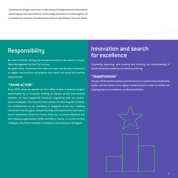Lincolnians of all ages come from a wide variety of backgrounds and nationalities, each bringing a well-honed skill set. Our founding values bind us closely together. All Lincolnians are valued as individuals and commit to upholding our four core values.

## **Responsibility**

We value initiative, daring and entrepreneurship as the means to invent Talent Management for the 21st century.

We guide those Lincolnians who seek to create and develop businesses or support associations and projects that match our social and societal commitments.

#### **"TAKING ACTION"**

Since 2010, when we opened our first office in Asia, a business project spearheaded by a Lincolnian seeking to expand across international markets, we have supported initiatives originating with our projectowner employees. This has led to the creation of a sourcing lab in Poland, the establishment of our subsidiary in Singapore driven by a mobility consultant from Shanghai, and partnerships with associations that have a social commitment (Teach for France, Cheer Up, La Cravate Solidaire) and with industry organizations (APDC and EBG in France, Le Cercle Lorraine in Belgium, the French Chamber of Commerce and Industry in Shanghai).

### Innovation and search for excellence

Constantly improving, with humility and tenacity, our understanding of human behaviour enhances our advisory offering.

#### **"TRANSFORMING"**

The year 2016 saw the creation and roll-out of our transformative leadership model, and the launch of our digital transformation in order to further our ongoing search for excellence, as discussed below.

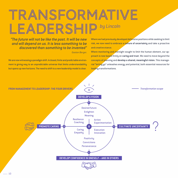## *by Lincoln* Transformative leadership

### *"The future will not be like the past. It will be new and will depend on us. It is less something to be discovered than something to be invented"*

*Gaston Berger.*

We are now witnessing a paradigm shift. A closed, finite and predictable environment is giving way to an unpredictable universe that limits understandability but opens up new horizons. The need to shift to a new leadership model is clear.

Where we had previously developed defensive positions while seeking to limit risk, we now need to embrace a **culture of uncertainty** and take a proactive and creative stance.

Where monitoring and oversight sought to limit the human element, our approach is now based firmly on **caring and trust**. We need to move beyond the concepts of planning and **develop a shared, meaningful vision.** This managerial "letting go" unleashes energy and potential, both essential resources for leading transformations.

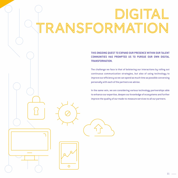## Digital transformation

 $\Omega$ 

**THIS ONGOING QUEST TO EXPAND OUR PRESENCE WITHIN OUR TALENT COMMUNITIES HAS PROMPTED US TO PURSUE OUR OWN DIGITAL TRANSFORMATION.** 

The challenge we face is that of bolstering our interactions by rolling out continuous communication strategies, but also of using technology to improve our efficiency so we can spend as much time as possible conversing personally with each of the partners we advise.

In the same vein, we are considering various technology partnerships able to enhance our expertise, deepen our knowledge of ecosystems and further improve the quality of our made-to-measure services to all our partners.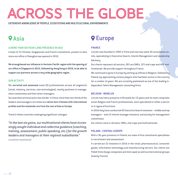## Across the globe

**EXTENSIVE KNOWLEDGE OF PEOPLE, ECOSYSTEMS AND MULTICULTURAL ENVIRONMENTS**

## **O** Asia

#### **A MORE THAN SIX-YEAR-LONG PRESENCE IN ASIA**

A team of 15 Chinese, Singaporean and French consultants, present in Asia since our office in Shanghai was opened in 2010.

**We strengthened our influence in the Asia-Pacific region with the opening of our office in Singapore in 2015, followed by Hong Kong in 2016, to be able to support our partners across a very wide geographic region.**

#### **OUR ACTIVITY**

We **recruited and assessed** some 60 professionals across all segments (retail, industry, services, new technologies), mostly positions in management committees and their direct managers.

Our searches are local and cross-border. In China, more than two-thirds of the leaders and managers recruited are **native-born Chinese with international profiles and the remainder are from the rest of Asia or Europe.**

Trend in these countries undergoing significant changes:

*"In the last six years, our multinational clients have increasingly sought individual and collective guidance (coaching, training, assessment, public speaking, etc.) for the growth leaders and managers at their regional subsidiaries"* 

*Lincolnian testimonial* 

## **Q** Europe

#### **FRANCE**

Lincoln was founded in 1992 in Paris and now has some 50 consultants onsite, specializing in Executive Search, Interim Management and Leadership Advisory.

Our clients represent all sectors, 28% are SMEs, 32% mid-caps and 40% multinationals. We provide support throughout France.

We continued to grow in Europe by setting up offices in Belgium, followed by Poland, by approaching various players who had been active in the country for a number of years. We are currently positioned as one of the leading independent Talent Management consulting firms.

#### **BELGIUM - BENELUX**

Lincoln has had a presence in Brussels for 15 years and its team comprises seven Belgian and French professionals, each specialized in either a sector or in types of functions.

In 2016 they have conducted 45 Executive Search missions – middle and top managers – and 15 interim manager missions, exclusively for management committees.

Our clients come in all sizes: SMEs, mid-caps and multinationals.

#### **POLAND - CENTRAL EUROPE**

With a 36-year presence in Poland, our team of five consultants specialises in recruitment and assessment.

It carried out 22 missions in 2016 in the retail, pharmaceutical, consumer goods, information technology and manufacturing sectors. Our clients are Polish firms (large companies and mid-caps) as well as international groups (mainly French).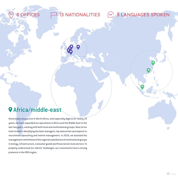## Africa/middle-east

Historically very active in North Africa, and especially Algeria for nearly 15 years, we have expanded our operations in Africa and the Middle East in the last two years, working with both local and multinational groups. Most of our work involves identifying the best managers, top executives and experts in recruitment consulting and interim management. In 2016, we assisted the management committees of the regional subsidiaries of multinational groups in energy, infrastructure, consumer goods and financial services sectors. To properly understand our clients' challenges, our consultants have a strong presence in the MEA region.

8 OFFICES 13 NATIONALITIES 200 9 LANGUAGES SPOKEN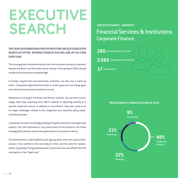## EXECUTIVE SEARCH

#### **THE YEAR 2016 ENDED ON A POSITIVE NOTE FOR LINCOLN'S EXECUTIVE SEARCH ACTIVITIES. REVENUE STOOD AT** €**9.8 MILLION, UP 23% YEAR OVER YEAR.**

This strong growth stemmed mainly from the sustained recovery in demand. Despite the Brexit and the tense social climate in the spring of 2016, the job market and hiring levels remained high.

In Europe, beyond the macroeconomic statistics, we also saw a catch-up effect. Companies tightened their belts in recent years but are hiring again now that the economy has started to recover.

Momentum is strong in the Asian and African markets. Our partners increasingly need help acquiring local talent capable of adjusting quickly to a specific corporate culture. In addition to recruitment, they also come to us for major challenges related to the integration and retention policy implementation phases.

Companies are also increasingly asking for big data and cloud managers and experts. This still represents a very small share of recruitments, but these emerging HR solutions match the expectations of our partner clients.

The phenomenon is also fuelled by the age pyramid: there are more professionals in the workforce who are ready to retire, and the need for replacements is growing. Young professionals in particular have benefited from the resumption of the "talent war."

### **EXECUTIVE SEARCH – SEGMENTS**

### Financial Services & Institutions Corporate Finance



#### **BREAKDOWN OF FINANCE REVENUE IN 2016**

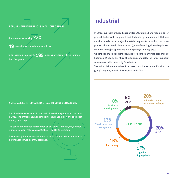**ROBUST MOMENTUM IN 2016 IN ALL OUR OFFICES**

Our revenue was up by **27%**

**49** new clients placed their trust in us

Clients remain loyal, with **195** clients partnering with us for more than five years.

#### **A SPECIALISED INTERNATIONAL TEAM TO GUIDE OUR CLIENTS**

We added three new consultants with diverse backgrounds to our team in 2016: one entrepreneur, one maritime insurance expert and one asset management expert.

The seven nationalities represented on our team — French, UK, Spanish, Chinese, Belgian, Polish and Australian — add to its diversity.

We conduct joint missions with our six international offices and launch simultaneous multi-country searches. **16%** 

### Industrial

In 2016, our team provided support for SME's (small and medium enterprises), Industrial Equipment and Technology Companies (ETIs), and multinationals, in all major industrial segments, whether these are process-driven (food, chemicals, etc.), manufacturing-driven (equipment manufacturers) or operations-driven (energy, mining, etc.).

While the chemicals sector accounted for a particularly high proportion of business, at nearly one-third of missions conducted in France, our Asian teams were called in mostly for robotics.

The Industrial team now has 11 expert consultants located in all of the group's regions, namely Europe, Asia and Africa.

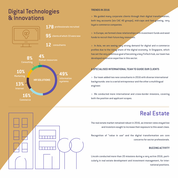## Digital Technologies & Innovations



#### **TRENDS IN 2016**

> We guided many corporate clients through their digital transformation, both key accounts (six CAC 40 groups), mid-caps and fast-growing, very loyal e-commerce companies.

> In Europe, we formed close relationships with investment funds and seed funds to recruit their future key resources.

> In Asia, we are seeing very strong demand for digital and e-commerce profiles due to the rising share of the digital economy. In Singapore, which has set the very ambitious goal of becoming a key FinTech hub, our team has developed extensive expertise in this sector.

#### **A SPECIALISED INTERNATIONAL TEAM TO GUIDE OUR CLIENTS**

> Our team added two new consultants in 2016 with diverse international backgrounds: one is a serial entrepreneur and the other a multilingual engineer.

> We conducted more international and cross-border missions, covering both the position and applicant scopes.

## Real Estate

The real estate market remained robust in 2016, as interest rates stayed low and investors sought to increase their exposure to this asset class.

Recognition of "value in use" and the digital transformation are core concerns for sector professionals.

#### **BUZZING ACTIVITY**

Lincoln conducted more than 20 missions during a very active 2016, particularly in real estate development and investment management, for international positions.

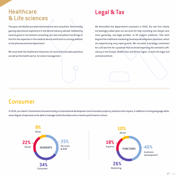## **Healthcare** & Life sciences

This year, the Healthcare team welcomed one new consultant. After initially gaining operational experience in the dental industry abroad, followed by several years in recruitment consulting, our new consultant now brings to the firm her expertise in the medical device world and is a strong addition to the pharmaceuticals department.

We cover both the healthcare industries, for technical and sales positions as well as the health sector, for senior management.

## Legal & Tax

We diversified the department's business in 2016. Our law firm clients increasingly called upon our services for help recruiting non-lawyer and, more generally, non-legal profiles, to fill support positions. This went beyond the traditional marketing/business development positions, which are experiencing very rapid growth. We recruited a strategy consultant for a US law firm for a position that involved improving the network's efficiency in the Europe, Middle East and Africa region, at both the legal and commercial level.

## **Consumer**

In 2016, our clients' investments focused mostly on international development and innovation projects, positions that require, in addition to strong language skills, some degree of openness to be able to manage multiculturalism and a creative performance culture.

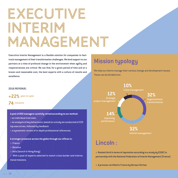## Executive Interim Management

**Executive Interim Management is a flexible solution for companies to fasttrack management of their transformation challenges. We lend support to our partners at a time of profound change in the environment when agility and**  responsiveness are critical. We can find, for a given period of time and at a **known and reasonable cost, the best experts with a culture of results and excellence.**

#### **2016 REVENUE:**

**+22%** year-on-year

#### **74** missions

**A pool of 850 managers carefully vetted according to our method:**

- > an individual interview;
- $>$  an analysis of key behaviours, based on a study we conducted of 220  $\,$ top executives, followed by feedback
- > a systematic review of in-depth professional references.

A stronger presence across the globe through our offices in:

- > France
- > Benelux
- > Asia (launch in Hong Kong)

> With a pool of experts selected to match cross-border and international missions.

## Mission typology

We help our clients manage their various change and development issues. These can be divided into:



## Lincoln :

**> Ranked third in terms of reputation according to a study by ESSEC in partnership with the National Federation of Interim Management (France)**

**> A process certifi ed in France by Bureau Veritas**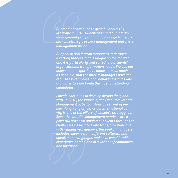*Our market continued to grow by about 15% in Europe in 2016. Our clients hired our interim*  management firm primarily to manage transfor*mation, strategic project management and crisis management issues.*

*Our pool of 850 interim managers undergoes a vetting process that is unique on the market, and it is particularly well suited to our clients' organizational transformation needs. We use our assessment expertise to make sure, as much as possible, that the interim managers have the requisite key professional behaviours and skills. Our aim is to select only the most outstanding candidates.*

*Lincoln continues to develop across the globe with, in 2016, the launch of the Executive Interim Management activity in Asia, based out of our*  hew Hong Kong office. As our international acti*vity is one of the pillars of Lincoln's strategy, our Executive Interim Management services are a powerful driver for guiding our clients through the challenges associated with transformation and with winning new markets. Our pool of managers includes experts from different cultures, who speak many languages and have considerable experience abroad and in a variety of companies and positions.*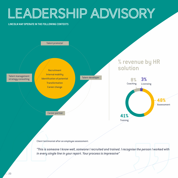## Leadership Advisory

#### **LINCOLN MAY OPERATE IN THE FOLLOWING CONTEXTS**



Client testimonial after an employee assessment:

*"This is someone I know well, someone I recruited and trained. I recognise the person I worked with in every single line in your report. Your process is impressive"*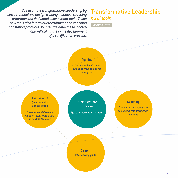*Based on the Transformative Leadership by Lincoln-model, we design training modules, coaching programs and dedicated assessment tools. These new tools also inform our recruitment and coaching consulting practices. In 2017, we hope these innovations will culminate in the development*   $of a$  certification process.

## Transformative Leadership *by Lincoln*

**NEW PROJECTS**

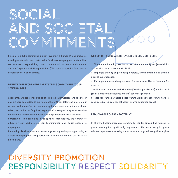## Social AND SOCIETAL commitments

Lincoln is a fully committed player favouring a humanist and inclusive development model that creates value for all. As an employment stakeholder, we have a real responsibility toward our economic and social environment, and our Corporate Social Responsibility (CSR) approach, which functions at several levels, is one example.

#### **WE HAVE THEREFORE MADE A VERY STRONG COMMITMENT TO OUR STAKEHOLDERS**

**Applicants:** we are conscious of our role as intermediary and facilitator and are very committed to our relationship with our talent. As a sign of our respect and in an effort to continuously improve our interactions with our talent, we conduct an "applicant experience" survey twice a year to examine our methods and relationships with all the professionals that we meet.

**Companies:** In addition to meeting their expectations, we commit to educating our partners on non-discrimination and equal access to employment.

Combating discrimination and promoting diversity and equal opportunity in access to employment are priorities for Lincoln and broadly shared by all Lincolnians.

#### **WE SUPPORT ASSOCIATIONS INVOLVED IN COMMUNITY LIFE**

> Director and founding member of the "À Compétence égale" (equal skills) association since its creation in 2006.

> Employee training on promoting diversity, annual internal and external audit of our processes.

> Participation in coaching sessions for jobseekers (Force Femmes, Seniors, etc.).

> Guidance for students at the Boucher (Tremblay-en-France) and Bartholdi (Saint-Denis on the outskirts of Paris) secondary schools.

> Teach for France partnership (program that places teachers who have recently graduated from top schools in priority education areas).

#### **REDUCING OUR CARBON FOOTPRINT**

In effort to become more environmentally friendly, Lincoln has reduced its paper consumption significantly, implemented the use of recycled paper, adopted paperless note-taking in interviews and recycled many of its supplies.

## Diversity promotion RESPONSIBILITY RESPECT SOLIDARIT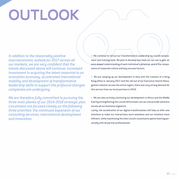## OUTLOOK

*In addition to the reasonably positive macroeconomic outlook for 2017 across all our markets, we are very confident that the trends discussed above will continue: increased investment in acquiring the talent essential to an innovation economy, accelerated international mobility and development of transformative leadership skills to support the profound changes companies are undergoing.*

*We are therefore fully committed to pursuing the three main planks of our 2014-2018 strategic plan. Lincolnians are focused closely on the following three priorities: the continued expansion of our consulting services; international development and innovation.*

> We continue to roll out our Transformative Leadership by Lincoln assessment and training tools. We plan to develop new tools we can use to gain an even deeper understanding of each individual's potential, and of the components of corporate culture and key success factors.

> We are ramping up our development in Asia with the creation of a Hong Kong office in January 2017 and the roll-out of our Executive Interim Management solution across the entire region; there was very strong demand for this service from our local partners in 2016.

> We are also actively continuing our development in Africa and the Middle East by strengthening the Lincoln Africa team; we can now provide solutions across all our business segments.

Lastly, the acceleration of our digital transformation will help us offer new solutions to make our interactions more seamless and our missions more efficient, while maximizing the time Lincoln consultants spend meeting personally with all partner professionals.